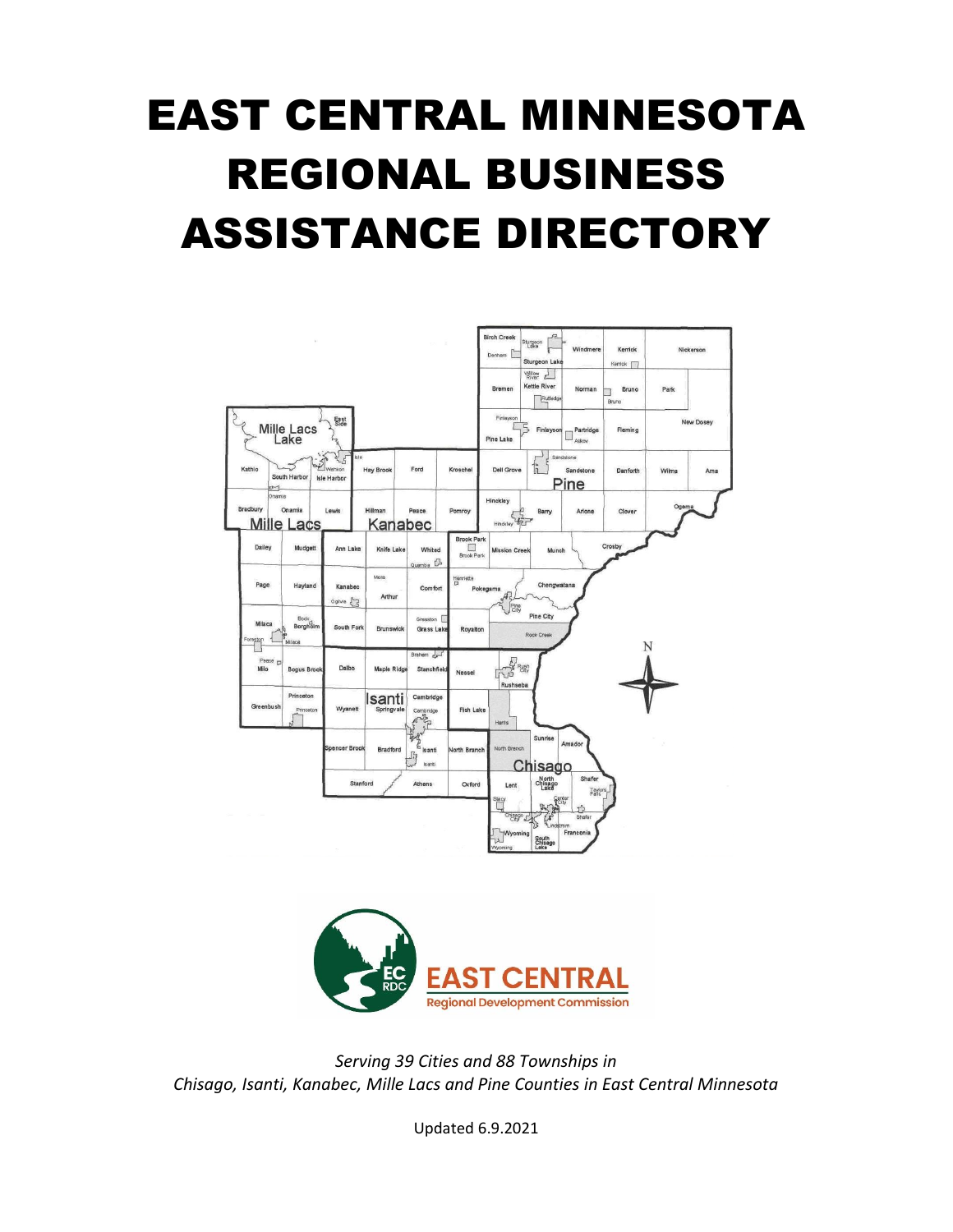# EAST CENTRAL MINNESOTA REGIONAL BUSINESS ASSISTANCE DIRECTORY





*Serving 39 Cities and 88 Townships in Chisago, Isanti, Kanabec, Mille Lacs and Pine Counties in East Central Minnesota*

Updated 6.9.2021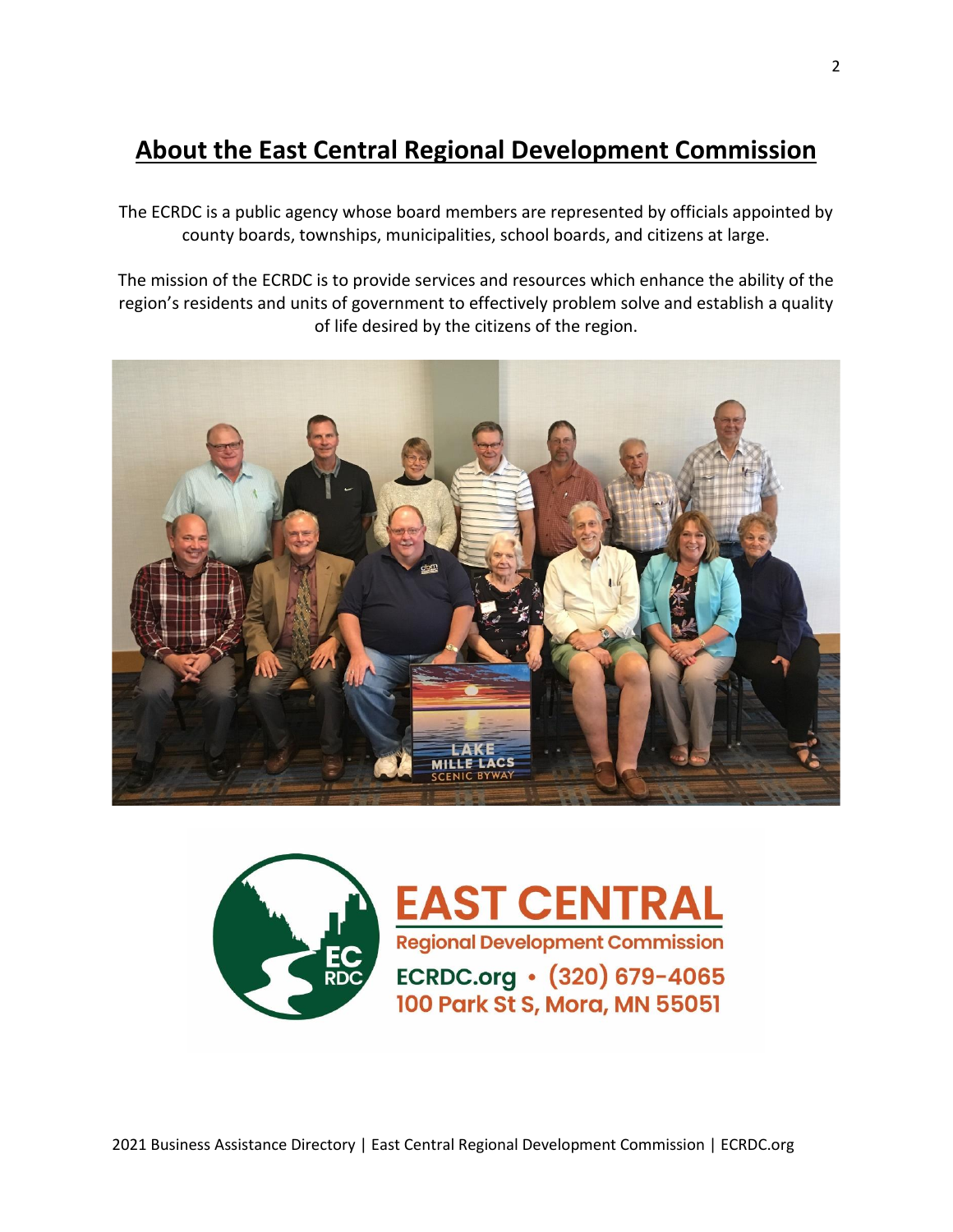# **About the East Central Regional Development Commission**

The ECRDC is a public agency whose board members are represented by officials appointed by county boards, townships, municipalities, school boards, and citizens at large.

The mission of the ECRDC is to provide services and resources which enhance the ability of the region's residents and units of government to effectively problem solve and establish a quality of life desired by the citizens of the region.





**EAST CENTRAL** Regional Development Commission ECRDC.org • (320) 679-4065 100 Park St S, Mora, MN 55051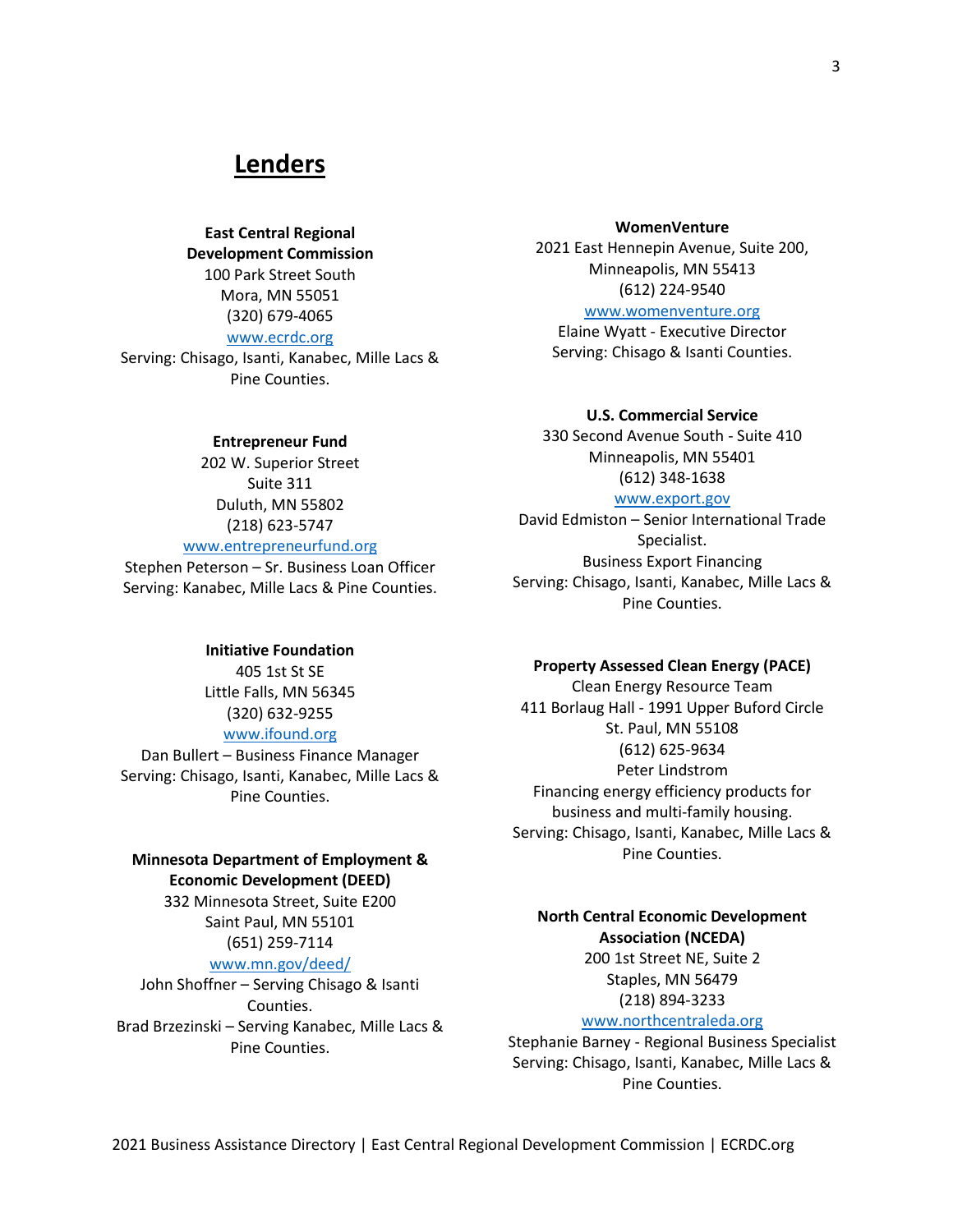# **Lenders**

**East Central Regional Development Commission** 100 Park Street South Mora, MN 55051 (320) 679-4065 [www.ecrdc.org](http://www.ecrdc.org/)

Serving: Chisago, Isanti, Kanabec, Mille Lacs & Pine Counties.

#### **Entrepreneur Fund**

202 W. Superior Street Suite 311 Duluth, MN 55802 (218) 623-5747 [www.entrepreneurfund.org](http://www.entrepreneurfund.org/)

Stephen Peterson – Sr. Business Loan Officer Serving: Kanabec, Mille Lacs & Pine Counties.

#### **Initiative Foundation**

405 1st St SE Little Falls, MN 56345 (320) 632-9255

# [www.ifound.org](http://www.ifound.org/)

Dan Bullert – Business Finance Manager Serving: Chisago, Isanti, Kanabec, Mille Lacs & Pine Counties.

# **Minnesota Department of Employment & Economic Development (DEED)**

332 Minnesota Street, Suite E200 Saint Paul, MN 55101 (651) 259-7114

#### [www.mn.gov/deed/](http://www.mn.gov/deed/)

John Shoffner – Serving Chisago & Isanti Counties. Brad Brzezinski – Serving Kanabec, Mille Lacs & Pine Counties.

#### **WomenVenture**

2021 East Hennepin Avenue, Suite 200, Minneapolis, MN 55413 (612) 224-9540

#### [www.womenventure.org](http://www.womenventure.org/)

Elaine Wyatt - Executive Director Serving: Chisago & Isanti Counties.

#### **U.S. Commercial Service**

330 Second Avenue South - Suite 410 Minneapolis, MN 55401 (612) 348-1638

# [www.export.gov](http://www.export.gov/)

[David Edmiston](http://export.gov/minnesota/contactus/davidedmiston/index.asp) – Senior International Trade Specialist. Business Export Financing Serving: Chisago, Isanti, Kanabec, Mille Lacs & Pine Counties.

#### **Property Assessed Clean Energy (PACE)**

Clean Energy Resource Team 411 Borlaug Hall - 1991 Upper Buford Circle St. Paul, MN 55108 (612) 625-9634 Peter Lindstrom Financing energy efficiency products for business and multi-family housing. Serving: Chisago, Isanti, Kanabec, Mille Lacs & Pine Counties.

# **North Central Economic Development Association (NCEDA)**

200 1st Street NE, Suite 2 Staples, MN 56479 [\(218\) 894-3233](tel:2188943233)

# [www.northcentraleda.org](http://www.northcentraleda.org/)

Stephanie Barney - Regional Business Specialist Serving: Chisago, Isanti, Kanabec, Mille Lacs & Pine Counties.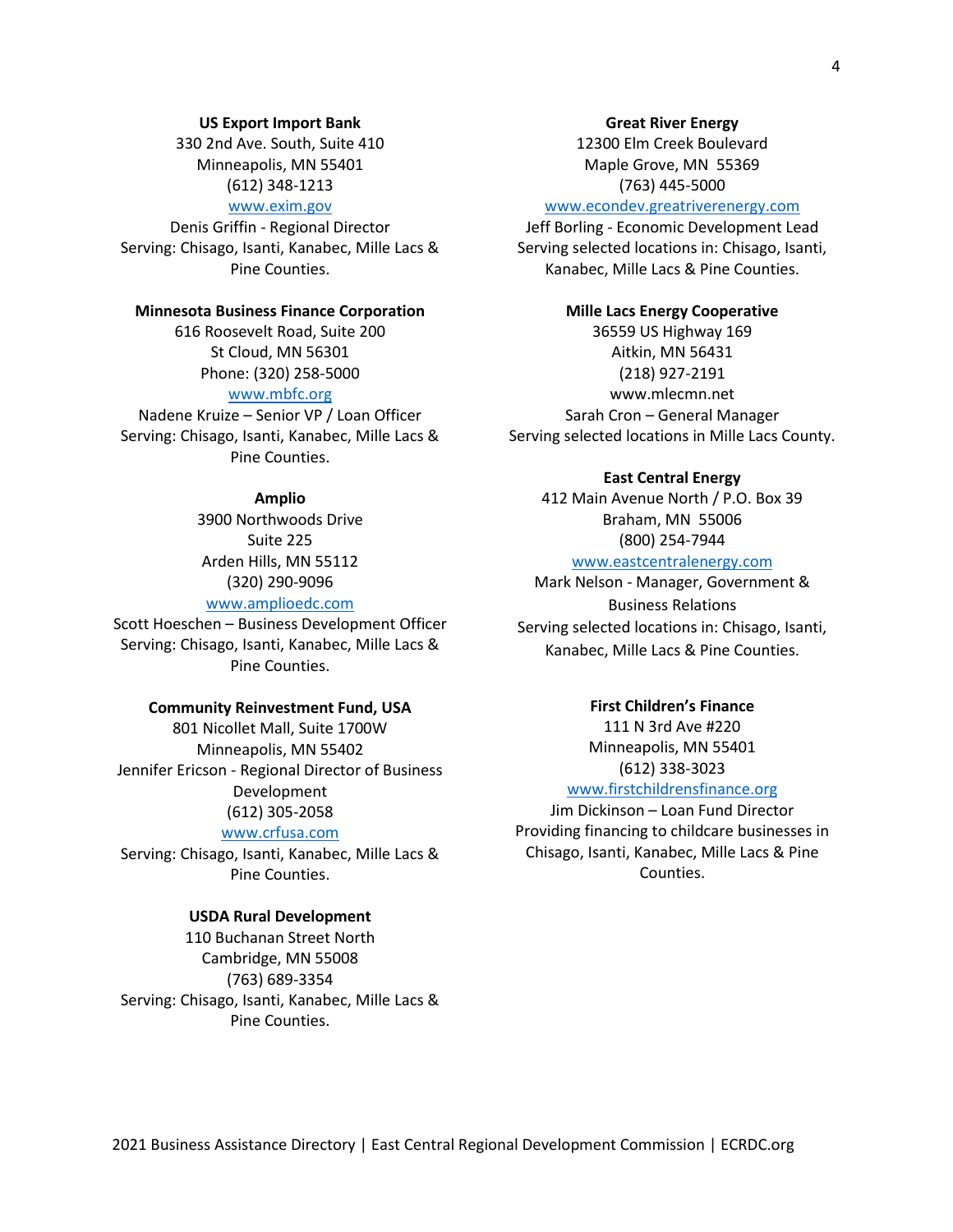# [www.exim.gov](http://www.exim.gov/)

Denis Griffin - Regional Director Serving: Chisago, Isanti, Kanabec, Mille Lacs & Pine Counties.

**US Export Import Bank** 330 2nd Ave. South, Suite 410 Minneapolis, MN 55401 (612) 348-1213

#### **Minnesota Business Finance Corporation**

616 Roosevelt Road, Suite 200 St Cloud, MN 56301 Phone: (320) 258-5000

# [www.mbfc.org](http://www.mbfc.org/)

Nadene Kruize – Senior VP / Loan Officer Serving: Chisago, Isanti, Kanabec, Mille Lacs & Pine Counties.

### **Amplio**

3900 Northwoods Drive Suite 225 Arden Hills, MN 55112 (320) 290-9096

# [www.amplioedc.com](http://www.amplioedc.com/)

Scott Hoeschen – Business Development Officer Serving: Chisago, Isanti, Kanabec, Mille Lacs & Pine Counties.

#### **Community Reinvestment Fund, USA**

801 Nicollet Mall, Suite 1700W Minneapolis, MN 55402 Jennifer Ericson - Regional Director of Business Development (612) 305-2058

#### [www.crfusa.com](http://www.crfusa.com/)

Serving: Chisago, Isanti, Kanabec, Mille Lacs & Pine Counties.

#### **USDA Rural Development**

110 Buchanan Street North Cambridge, MN 55008 (763) 689-3354 Serving: Chisago, Isanti, Kanabec, Mille Lacs & Pine Counties.

#### **Great River Energy**

12300 Elm Creek Boulevard Maple Grove, MN 55369 (763) 445-5000

#### [www.econdev.greatriverenergy.com](http://www.econdev.greatriverenergy.com/)

Jeff Borling - Economic Development Lead Serving selected locations in: Chisago, Isanti, Kanabec, Mille Lacs & Pine Counties.

#### **Mille Lacs Energy Cooperative**

36559 US Highway 169 Aitkin, MN 56431 [\(218\) 927-2191](https://www.google.com/search?source=hp&ei=mlgSXdHYONrbtAaDkbjgDg&q=mille+lacs+energy+coop&oq=mille+lacs+e&gs_l=psy-ab.3.1.0l10.863.5917..9436...1.0..0.145.1571.0j14......0....1..gws-wiz.....0..35i39j0i131j0i67j0i131i67j35i305i39j0i10.LoE1qNH2VPs) www.mlecmn.net Sarah Cron – General Manager Serving selected locations in Mille Lacs County.

#### **East Central Energy**

412 Main Avenue North / P.O. Box 39 Braham, MN 55006 (800) 254-7944

#### [www.eastcentralenergy.com](http://www.eastcentralenergy.com/)

Mark Nelson - Manager, Government & Business Relations Serving selected locations in: Chisago, Isanti, Kanabec, Mille Lacs & Pine Counties.

#### **First Children's Finance**

111 N 3rd Ave #220 Minneapolis, MN 55401 [\(612\) 338-3023](javascript:void(0))

# [www.firstchildrensfinance.org](http://www.firstchildrensfinance.org/)

Jim Dickinson – Loan Fund Director Providing financing to childcare businesses in Chisago, Isanti, Kanabec, Mille Lacs & Pine Counties.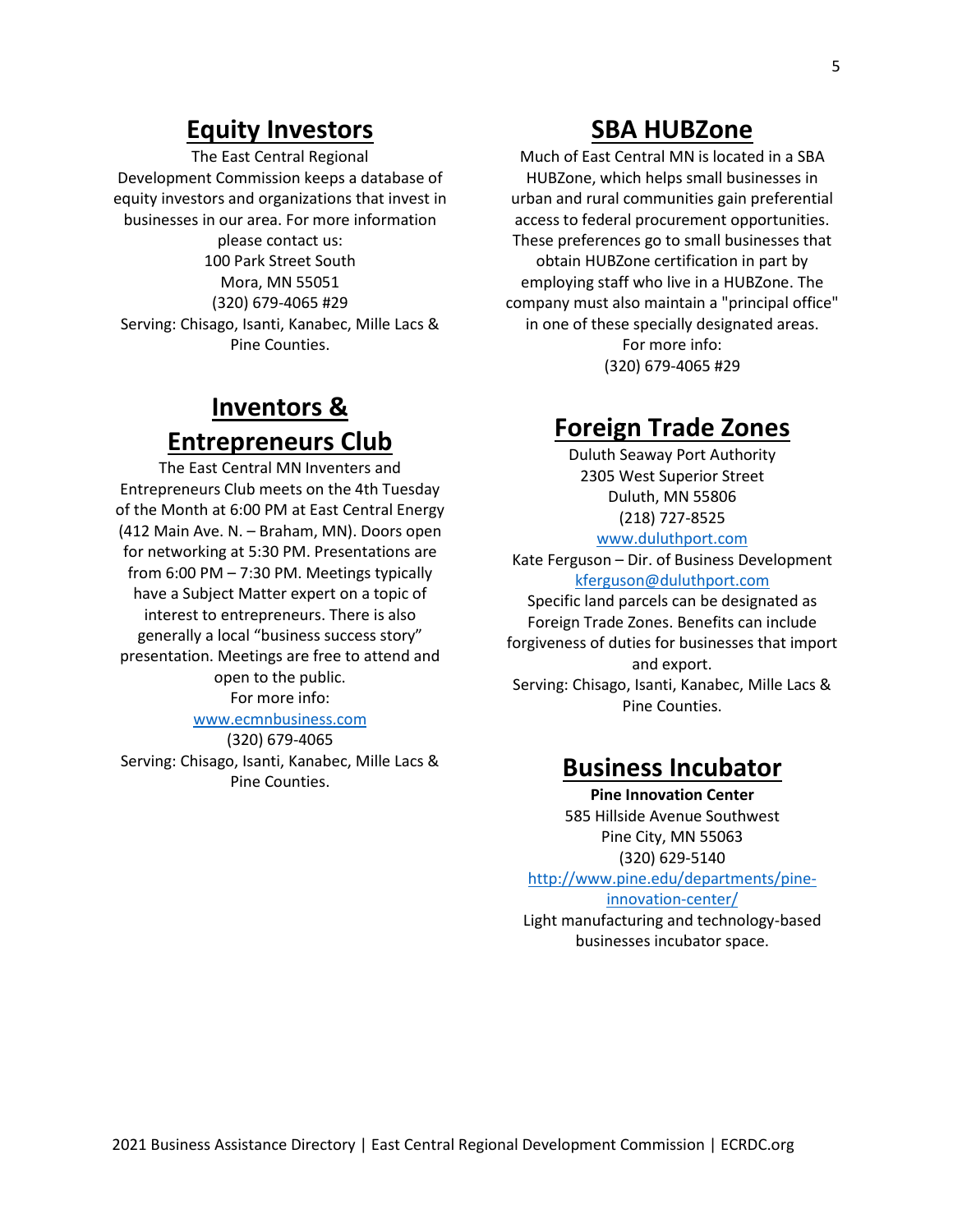# **Equity Investors**

The East Central Regional Development Commission keeps a database of equity investors and organizations that invest in businesses in our area. For more information please contact us: 100 Park Street South Mora, MN 55051 (320) 679-4065 #29 Serving: Chisago, Isanti, Kanabec, Mille Lacs & Pine Counties.

# **Inventors & Entrepreneurs Club**

The East Central MN Inventers and Entrepreneurs Club meets on the 4th Tuesday of the Month at 6:00 PM at East Central Energy (412 Main Ave. N. – Braham, MN). Doors open for networking at 5:30 PM. Presentations are from 6:00 PM – 7:30 PM. Meetings typically have a Subject Matter expert on a topic of interest to entrepreneurs. There is also generally a local "business success story" presentation. Meetings are free to attend and open to the public.

For more info:

# [www.ecmnbusiness.com](http://www.ecmnbusiness.com/)

(320) 679-4065 Serving: Chisago, Isanti, Kanabec, Mille Lacs & Pine Counties.

# **SBA HUBZone**

Much of East Central MN is located in a SBA HUBZone, which helps small businesses in urban and rural communities gain preferential access to federal procurement opportunities. These preferences go to small businesses that obtain HUBZone certification in part by employing staff who live in a HUBZone. The company must also maintain a "principal office" in one of these specially designated areas. For more info: (320) 679-4065 #29

# **Foreign Trade Zones**

Duluth Seaway Port Authority 2305 West Superior Street Duluth, MN 55806 (218) 727-8525 [www.duluthport.com](http://www.duluthport.com/) Kate Ferguson – Dir. of Business Development [kferguson@duluthport.com](mailto:kferguson@duluthport.com) Specific land parcels can be designated as Foreign Trade Zones. Benefits can include forgiveness of duties for businesses that import and export. Serving: Chisago, Isanti, Kanabec, Mille Lacs & Pine Counties.

# **Business Incubator**

**Pine Innovation Center** 585 Hillside Avenue Southwest Pine City, MN 55063 (320) 629-5140

http://www.pine.edu/departments/pine-

innovation-center/

Light manufacturing and technology-based businesses incubator space.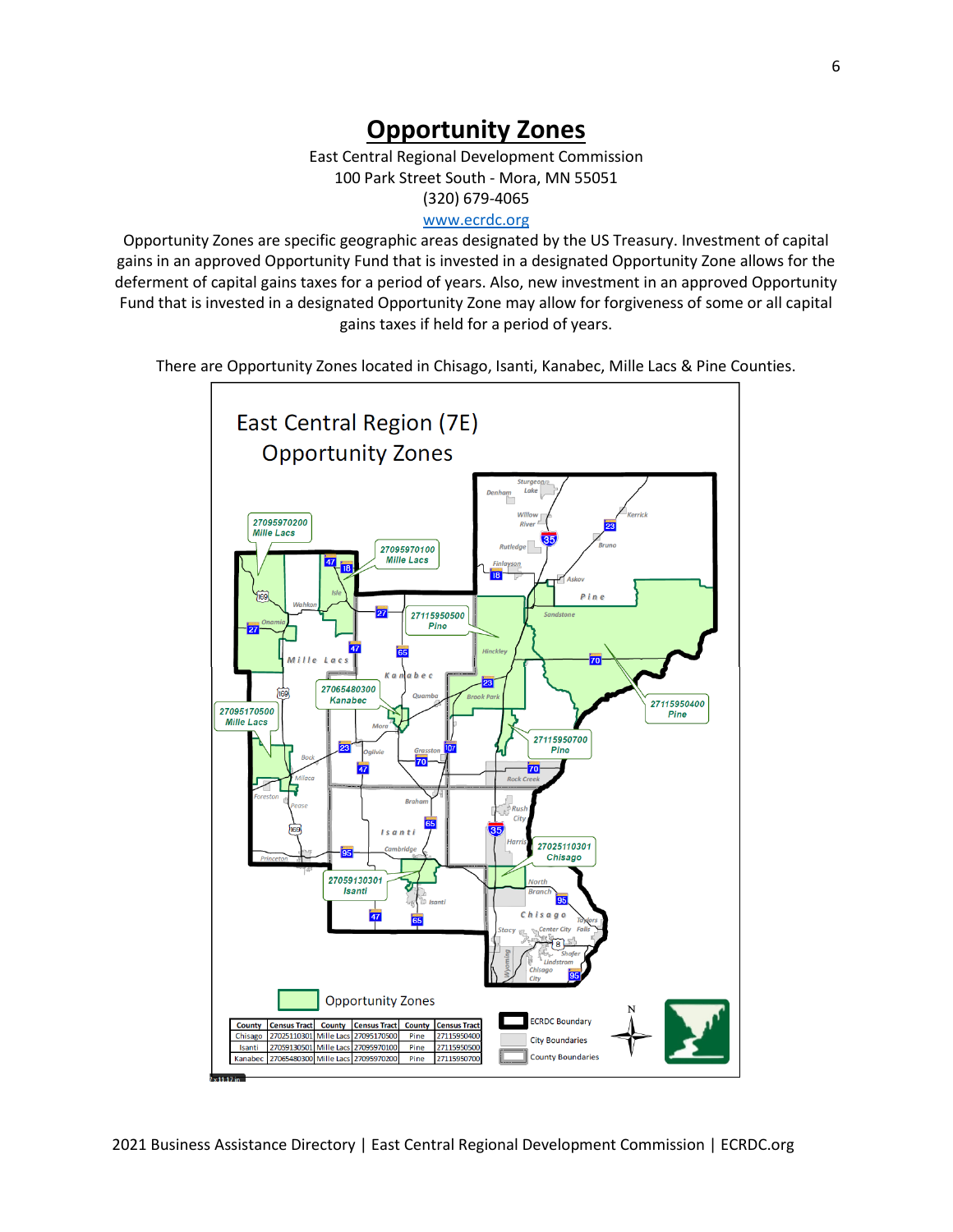# **Opportunity Zones**

East Central Regional Development Commission 100 Park Street South - Mora, MN 55051 (320) 679-4065 [www.ecrdc.org](http://www.ecrdc.org/)

Opportunity Zones are specific geographic areas designated by the US Treasury. Investment of capital gains in an approved Opportunity Fund that is invested in a designated Opportunity Zone allows for the deferment of capital gains taxes for a period of years. Also, new investment in an approved Opportunity Fund that is invested in a designated Opportunity Zone may allow for forgiveness of some or all capital gains taxes if held for a period of years.

There are Opportunity Zones located in Chisago, Isanti, Kanabec, Mille Lacs & Pine Counties.

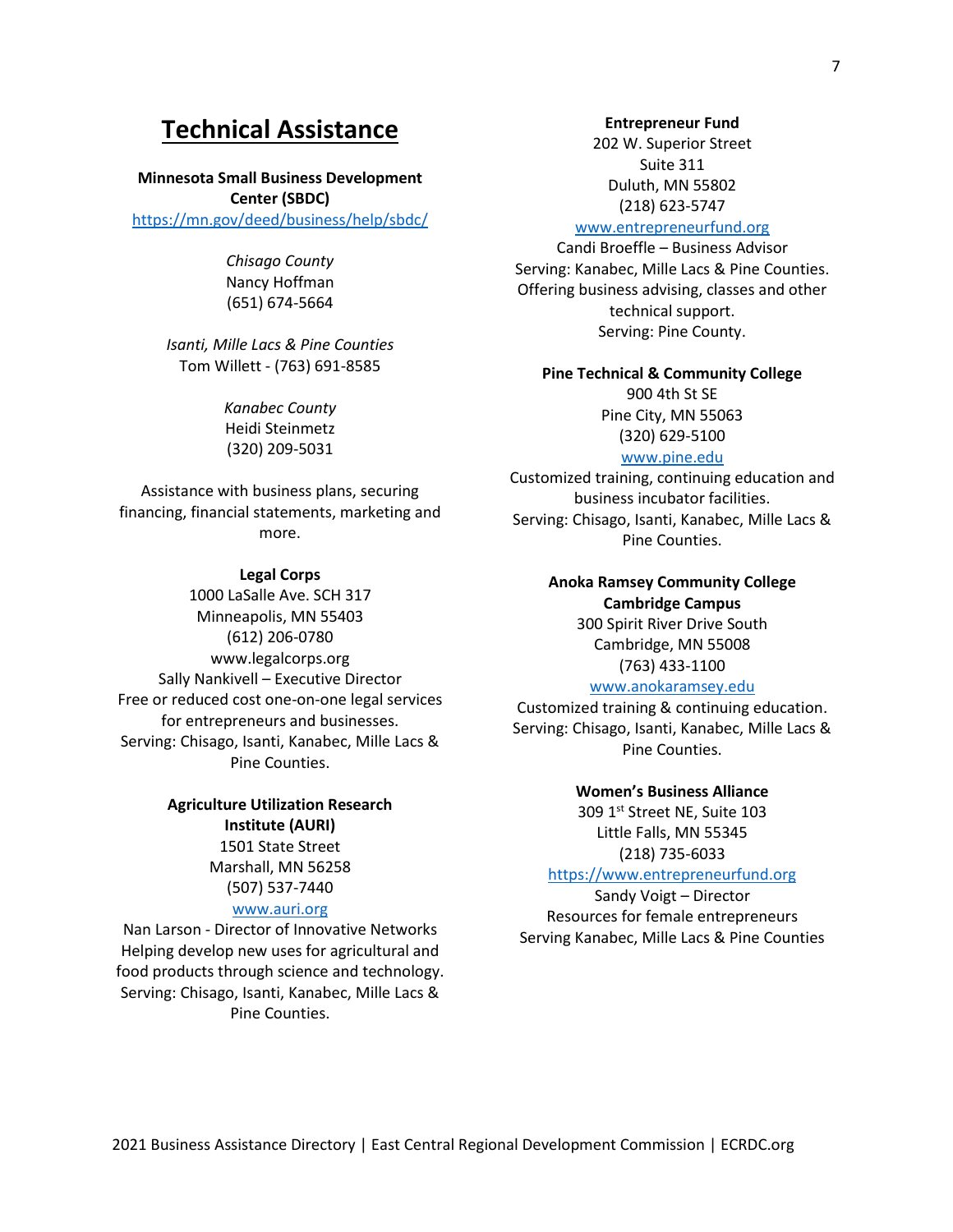# **Technical Assistance**

#### **Minnesota Small Business Development**

**Center (SBDC)** <https://mn.gov/deed/business/help/sbdc/>

> *Chisago County* Nancy Hoffman (651) 674-5664

*Isanti, Mille Lacs & Pine Counties* Tom Willett - (763) 691-8585

> *Kanabec County* Heidi Steinmetz (320) 209-5031

Assistance with business plans, securing financing, financial statements, marketing and more.

#### **Legal Corps**

1000 LaSalle Ave. SCH 317 Minneapolis, MN 55403 (612) 206-0780 [www.legalcorps.org](http://www.legalcorps.org/) Sally Nankivell – Executive Director Free or reduced cost one-on-one legal services for entrepreneurs and businesses. Serving: Chisago, Isanti, Kanabec, Mille Lacs & Pine Counties.

# **Agriculture Utilization Research Institute (AURI)** 1501 State Street Marshall, MN 56258

(507) 537-7440

# [www.auri.org](http://www.auri.org/)

Nan Larson - Director of Innovative Networks Helping develop new uses for agricultural and food products through science and technology. Serving: Chisago, Isanti, Kanabec, Mille Lacs & Pine Counties.

#### **Entrepreneur Fund**

202 W. Superior Street Suite 311 Duluth, MN 55802 (218) 623-5747

### [www.entrepreneurfund.org](http://www.entrepreneurfund.org/)

Candi Broeffle – Business Advisor Serving: Kanabec, Mille Lacs & Pine Counties. Offering business advising, classes and other technical support. Serving: Pine County.

#### **Pine Technical & Community College**

900 4th St SE Pine City, MN 55063 [\(320\) 629-5100](javascript:void(0))

#### [www.pine.edu](http://www.pine.edu/)

Customized training, continuing education and business incubator facilities. Serving: Chisago, Isanti, Kanabec, Mille Lacs & Pine Counties.

# **Anoka Ramsey Community College Cambridge Campus**

300 Spirit River Drive South Cambridge, MN 55008 [\(763\) 433-1100](javascript:void(0))

# [www.anokaramsey.edu](http://www.anokaramsey.edu/)

Customized training & continuing education. Serving: Chisago, Isanti, Kanabec, Mille Lacs & Pine Counties.

**Women's Business Alliance**

309 1st Street NE, Suite 103 Little Falls, MN 55345 (218) 735-6033

# [https://www.entrepreneurfund.org](https://www.entrepreneurfund.org/)

Sandy Voigt – Director Resources for female entrepreneurs Serving Kanabec, Mille Lacs & Pine Counties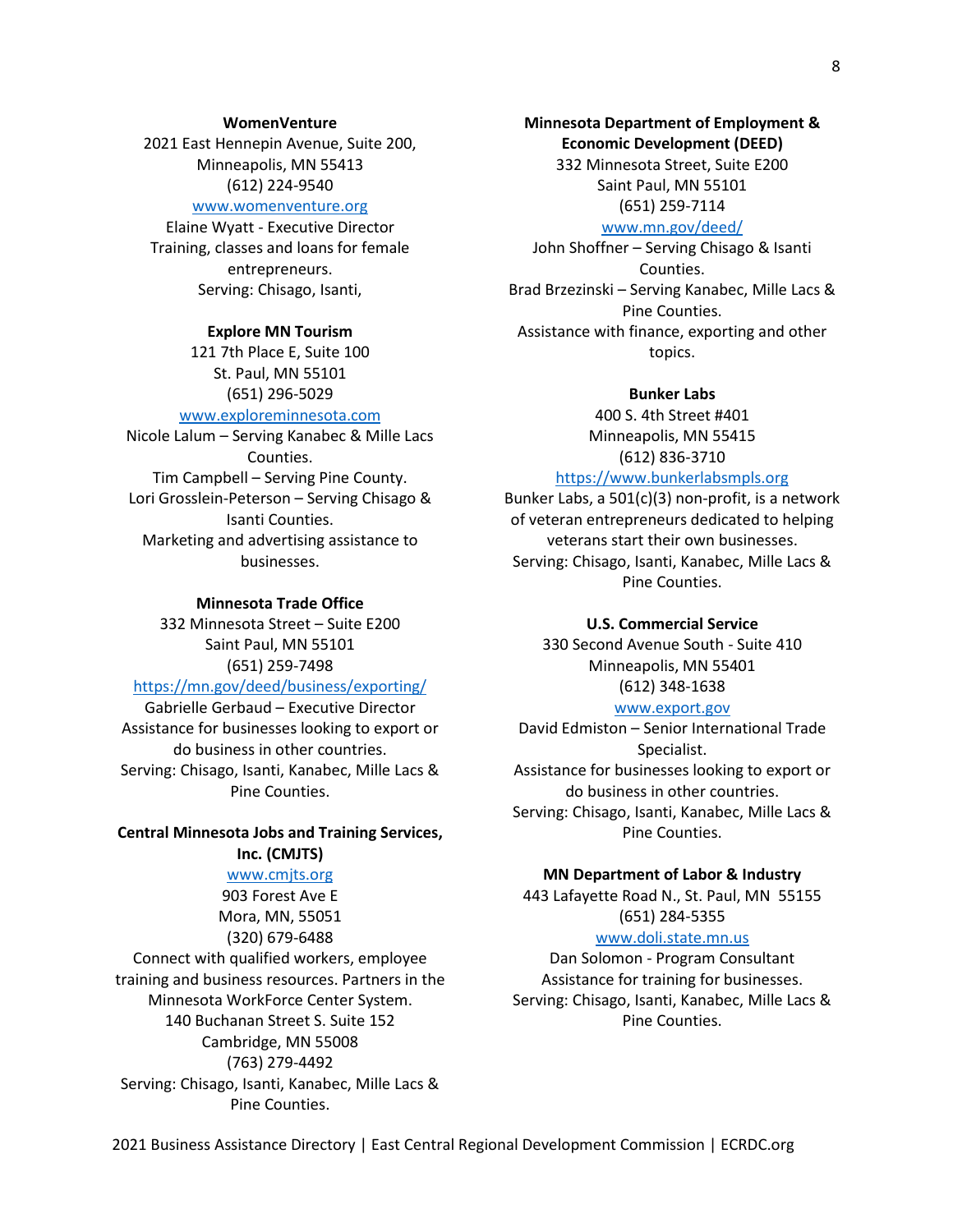#### **WomenVenture**

2021 East Hennepin Avenue, Suite 200, Minneapolis, MN 55413 (612) 224-9540

# [www.womenventure.org](http://www.womenventure.org/)

Elaine Wyatt - Executive Director Training, classes and loans for female entrepreneurs. Serving: Chisago, Isanti,

#### **Explore MN Tourism**

121 7th Place E, Suite 100 St. Paul, MN 55101 [\(651\) 296-5029](tel:1-651-296-5029)

# [www.exploreminnesota.com](http://www.exploreminnesota.com/)

Nicole Lalum – Serving Kanabec & Mille Lacs Counties. Tim Campbell – Serving Pine County. Lori Grosslein-Peterson – Serving Chisago & Isanti Counties. Marketing and advertising assistance to businesses.

#### **Minnesota Trade Office**

332 Minnesota Street – Suite E200 Saint Paul, MN 55101 (651) 259-7498

# <https://mn.gov/deed/business/exporting/>

[Gabrielle Gerbaud](mailto:gabrielle.gerbaud@state.mn.us) – Executive Director Assistance for businesses looking to export or do business in other countries. Serving: Chisago, Isanti, Kanabec, Mille Lacs & Pine Counties.

## **Central Minnesota Jobs and Training Services, Inc. (CMJTS)**

#### [www.cmjts.org](http://www.cmjts.org/)

903 Forest Ave E Mora, MN, 55051 (320) 679-6488 Connect with qualified workers, employee training and business resources. Partners in the Minnesota WorkForce Center System. 140 Buchanan Street S. Suite 152 Cambridge, MN 55008 (763) 279-4492 Serving: Chisago, Isanti, Kanabec, Mille Lacs & Pine Counties.

**Minnesota Department of Employment & Economic Development (DEED)** 332 Minnesota Street, Suite E200 Saint Paul, MN 55101

#### (651) 259-7114 [www.mn.gov/deed/](http://www.mn.gov/deed/)

John Shoffner – Serving Chisago & Isanti Counties. Brad Brzezinski – Serving Kanabec, Mille Lacs & Pine Counties. Assistance with finance, exporting and other topics.

#### **Bunker Labs**

400 S. 4th Street #401 Minneapolis, MN 55415 (612) 836-3710

#### [https://www.bunkerlabsmpls.org](https://www.bunkerlabsmpls.org/)

Bunker Labs, a 501(c)(3) non-profit, is a network of veteran entrepreneurs dedicated to helping veterans start their own businesses. Serving: Chisago, Isanti, Kanabec, Mille Lacs & Pine Counties.

#### **U.S. Commercial Service**

330 Second Avenue South - Suite 410 Minneapolis, MN 55401 (612) 348-1638

### [www.export.gov](http://www.export.gov/)

[David Edmiston](http://export.gov/minnesota/contactus/davidedmiston/index.asp) – Senior International Trade Specialist. Assistance for businesses looking to export or do business in other countries. Serving: Chisago, Isanti, Kanabec, Mille Lacs & Pine Counties.

#### **MN Department of Labor & Industry**

443 Lafayette Road N., St. Paul, MN 55155 (651) 284-5355

#### www.doli.state.mn.us

Dan Solomon - Program Consultant Assistance for training for businesses. Serving: Chisago, Isanti, Kanabec, Mille Lacs & Pine Counties.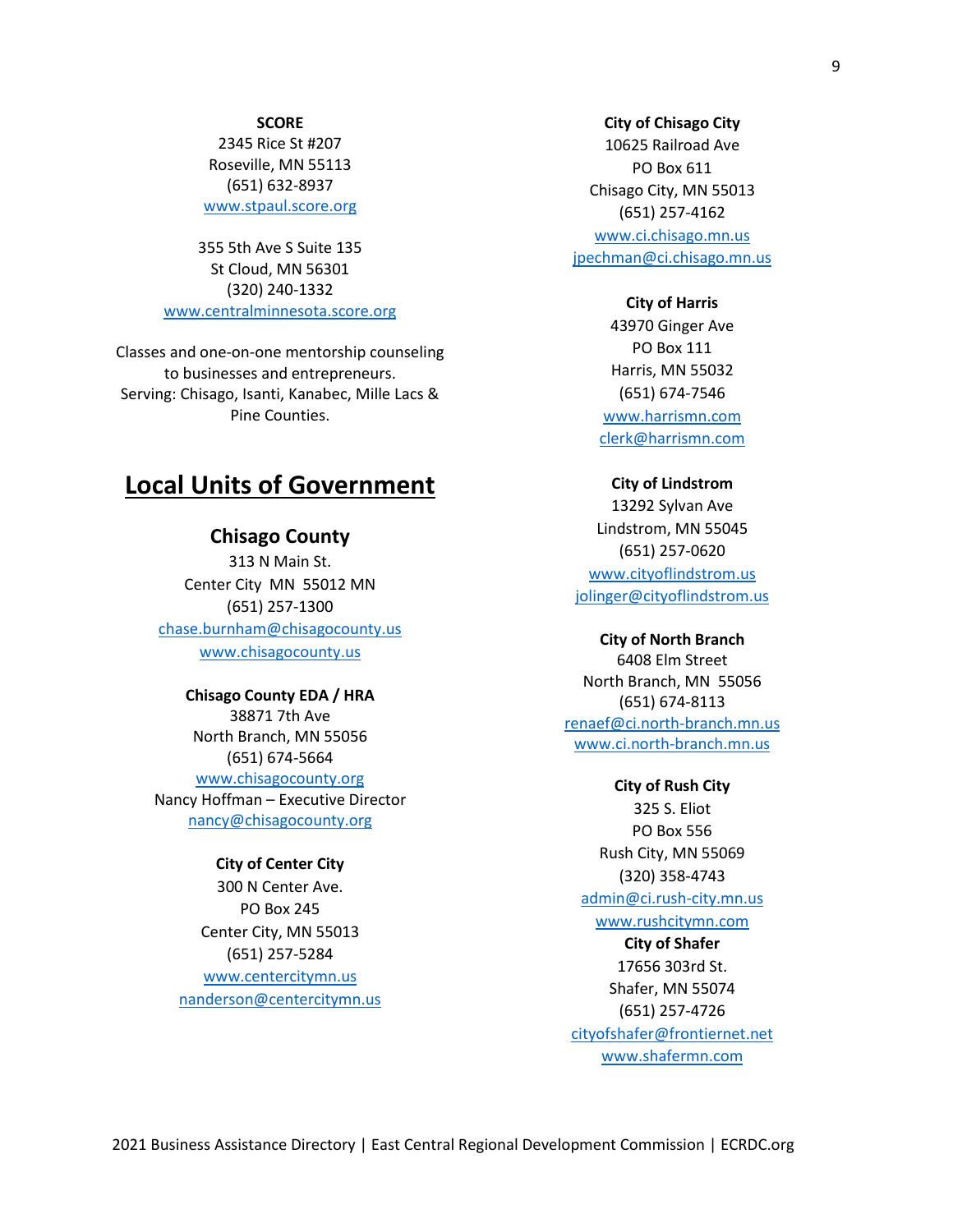#### **SCORE**

2345 Rice St #207 Roseville, MN 55113 [\(651\) 632-8937](javascript:void(0)) [www.stpaul.score.org](http://www.stpaul.score.org/)

355 5th Ave S Suite 135 St Cloud, MN 56301 [\(320\) 240-1332](javascript:void(0)) [www.centralminnesota.score.org](http://www.centralminnesota.score.org/)

Classes and one-on-one mentorship counseling to businesses and entrepreneurs. Serving: Chisago, Isanti, Kanabec, Mille Lacs & Pine Counties.

# **Local Units of Government**

# **Chisago County**

313 N Main St. Center City MN 55012 MN (651) 257-1300 [chase.burnham@chisagocounty.us](mailto:chase.burnham@chisagocounty.us) www.chisagocounty.us

# **Chisago County EDA / HRA**

38871 7th Ave North Branch, MN 55056 (651) 674-5664 [www.chisagocounty.org](http://www.chisagocounty.org/)

Nancy Hoffman – Executive Director [nancy@chisagocounty.org](mailto:nancy@chisagocounty.org)

# **City of Center City**

300 N Center Ave. PO Box 245 Center City, MN 55013 (651) 257-5284 [www.centercitymn.us](http://www.centercitymn.us/) [nanderson@centercitymn.us](mailto:nanderson@centercitymn.us)

#### **City of Chisago City**

10625 Railroad Ave PO Box 611 Chisago City, MN 55013 (651) 257-4162

[www.ci.chisago.mn.us](http://www.ci.chisago.mn.us/) [jpechman@ci.chisago.mn.us](mailto:jpechman@ci.chisago.mn.us)

#### **City of Harris**

43970 Ginger Ave PO Box 111 Harris, MN 55032 (651) 674-7546 [www.harrismn.com](http://www.harrismn.com/) [clerk@harrismn.com](mailto:clerk@harrismn.com)

#### **City of Lindstrom**

13292 Sylvan Ave Lindstrom, MN 55045 (651) 257-0620 [www.cityoflindstrom.us](http://www.cityoflindstrom.us/) [jolinger@cityoflindstrom.us](mailto:jolinger@cityoflindstrom.us)

#### **City of North Branch**

6408 Elm Street North Branch, MN 55056 (651) 674-8113 [renaef@ci.north-branch.mn.us](mailto:renaef@ci.north-branch.mn.us) [www.ci.north-branch.mn.us](http://www.ci.north-branch.mn.us/)

#### **City of Rush City**

325 S. Eliot PO Box 556 Rush City, MN 55069 (320) 358-4743 [admin@ci.rush-city.mn.us](mailto:admin@ci.rush-city.mn.us) [www.rushcitymn.com](http://www.rushcitymn.com/)

# **City of Shafer**

17656 303rd St. Shafer, MN 55074 (651) 257-4726 [cityofshafer@frontiernet.net](mailto:cityofshafer@frontiernet.net) www.shafermn.com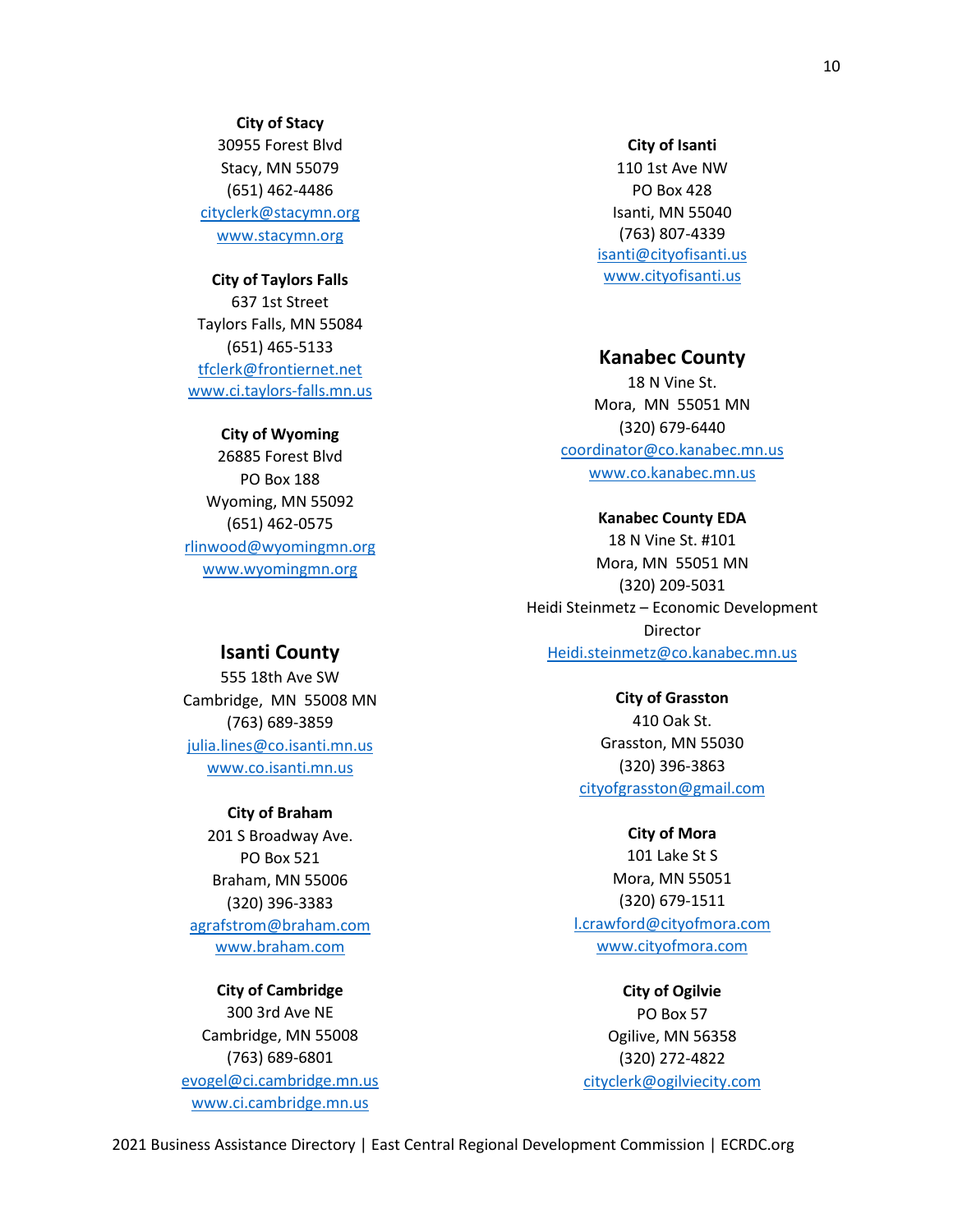**City of Stacy** 30955 Forest Blvd Stacy, MN 55079 (651) 462-4486 [cityclerk@stacymn.org](mailto:cityclerk@stacymn.org) www.stacymn.org

#### **City of Taylors Falls**

637 1st Street Taylors Falls, MN 55084 (651) 465-5133 [tfclerk@frontiernet.net](mailto:tfclerk@frontiernet.net) www.ci.taylors-falls.mn.us

#### **City of Wyoming**

26885 Forest Blvd PO Box 188 Wyoming, MN 55092 (651) 462-0575 [rlinwood@wyomingmn.org](mailto:rlinwood@wyomingmn.org) [www.wyomingmn.org](http://www.wyomingmn.org/)

#### **City of Isanti**

110 1st Ave NW PO Box 428 Isanti, MN 55040 (763) 807-4339 [isanti@cityofisanti.us](mailto:isanti@cityofisanti.us) www.cityofisanti.us

### **Kanabec County**

18 N Vine St. Mora, MN 55051 MN (320) 679-6440 [coordinator@co.kanabec.mn.us](mailto:coordinator@co.kanabec.mn.us) www.co.kanabec.mn.us

#### **Kanabec County EDA**

18 N Vine St. #101 Mora, MN 55051 MN (320) 209-5031 Heidi Steinmetz – Economic Development Director [Heidi.steinmetz@co.kanabec.mn.us](mailto:Heidi.steinmetz@co.kanabec.mn.us)

# **Isanti County**

555 18th Ave SW Cambridge, MN 55008 MN (763) 689-3859 [julia.lines@co.isanti.mn.us](mailto:julia.lines@co.isanti.mn.us) www.co.isanti.mn.us

#### **City of Braham**

201 S Broadway Ave. PO Box 521 Braham, MN 55006 (320) 396-3383 [agrafstrom@braham.com](mailto:agrafstrom@braham.com) www.braham.com

# **City of Cambridge** 300 3rd Ave NE

Cambridge, MN 55008 (763) 689-6801 [evogel@ci.cambridge.mn.us](mailto:evogel@ci.cambridge.mn.us) www.ci.cambridge.mn.us

**City of Grasston** 410 Oak St. Grasston, MN 55030 (320) 396-3863 [cityofgrasston@gmail.com](mailto:cityofgrasston@gmail.com)

#### **City of Mora**

101 Lake St S Mora, MN 55051 (320) 679-1511 [l.crawford@cityofmora.com](mailto:l.crawford@cityofmora.com) www.cityofmora.com

**City of Ogilvie** PO Box 57 Ogilive, MN 56358 (320) 272-4822 [cityclerk@ogilviecity.com](mailto:cityclerk@ogilviecity.com)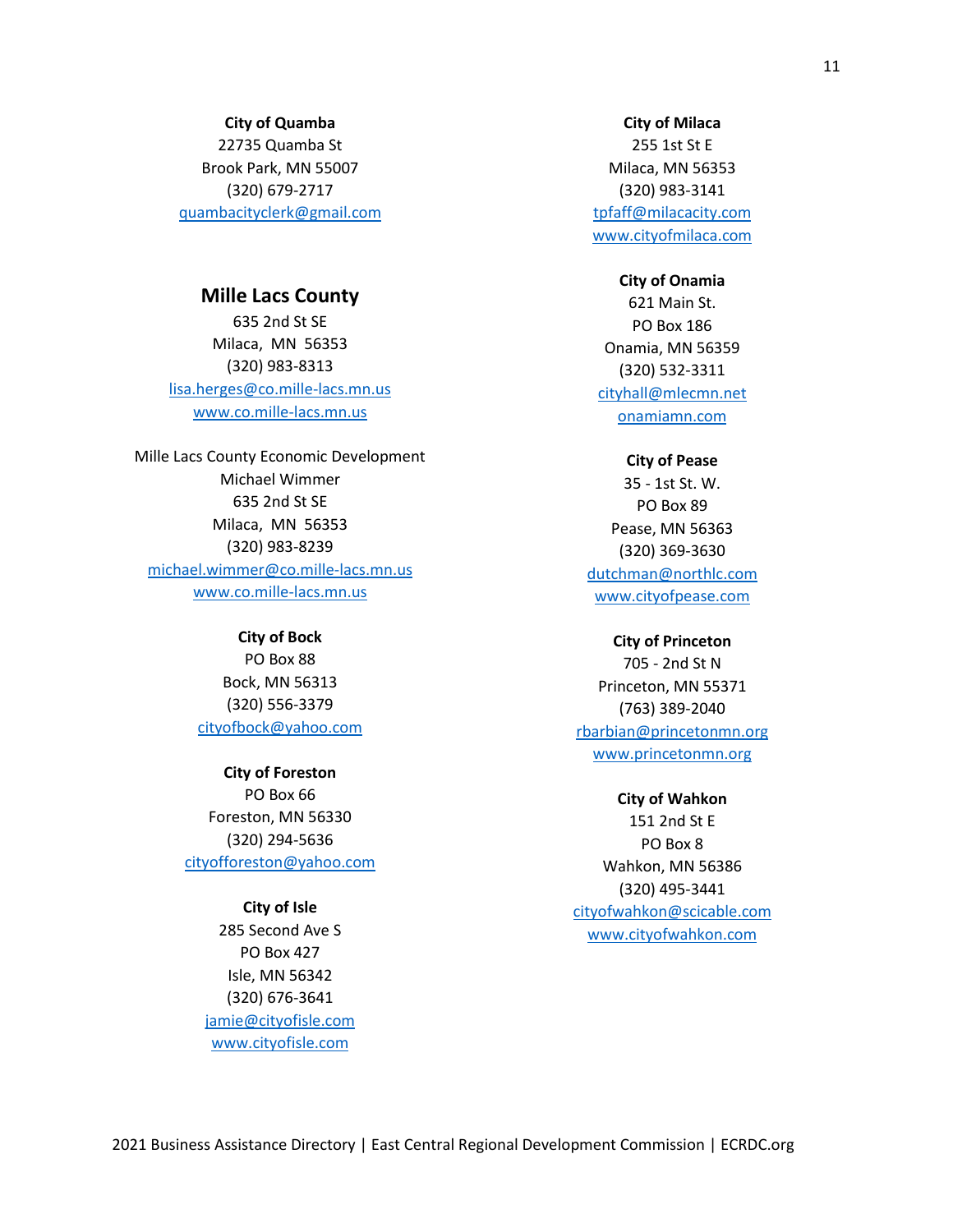#### **City of Quamba**

22735 Quamba St Brook Park, MN 55007 (320) 679-2717 [quambacityclerk@gmail.com](mailto:quambacityclerk@gmail.com)

# **Mille Lacs County**

635 2nd St SE Milaca, MN 56353 (320) 983-8313 [lisa.herges@co.mille-lacs.mn.us](mailto:lisa.herges@co.mille-lacs.mn.us) [www.co.mille-lacs.mn.us](http://www.co.mille-lacs.mn.us/)

Mille Lacs County Economic Development Michael Wimmer 635 2nd St SE Milaca, MN 56353 (320) 983-8239 [michael.wimmer@co.mille-lacs.mn.us](mailto:michael.wimmer@co.mille-lacs.mn.us) www.co.mille-lacs.mn.us

> **City of Bock** PO Box 88 Bock, MN 56313 (320) 556-3379 [cityofbock@yahoo.com](mailto:cityofbock@yahoo.com)

**City of Foreston** PO Box 66 Foreston, MN 56330 (320) 294-5636 [cityofforeston@yahoo.com](mailto:cityofforeston@yahoo.com)

**City of Isle**

285 Second Ave S PO Box 427 Isle, MN 56342 (320) 676-3641 [jamie@cityofisle.com](mailto:jamie@cityofisle.com) www.cityofisle.com

#### **City of Milaca**

255 1st St E Milaca, MN 56353 (320) 983-3141 [tpfaff@milacacity.com](mailto:tpfaff@milacacity.com) www.cityofmilaca.com

#### **City of Onamia**

621 Main St. PO Box 186 Onamia, MN 56359 (320) 532-3311 [cityhall@mlecmn.net](mailto:cityhall@mlecmn.net) onamiamn.com

#### **City of Pease**

35 - 1st St. W. PO Box 89 Pease, MN 56363 (320) 369-3630 [dutchman@northlc.com](mailto:dutchman@northlc.com) www.cityofpease.com

#### **City of Princeton**

705 - 2nd St N Princeton, MN 55371 (763) 389-2040 [rbarbian@princetonmn.org](mailto:rbarbian@princetonmn.org) www.princetonmn.org

#### **City of Wahkon**

151 2nd St E PO Box 8 Wahkon, MN 56386 (320) 495-3441 [cityofwahkon@scicable.com](mailto:cityofwahkon@scicable.com) www.cityofwahkon.com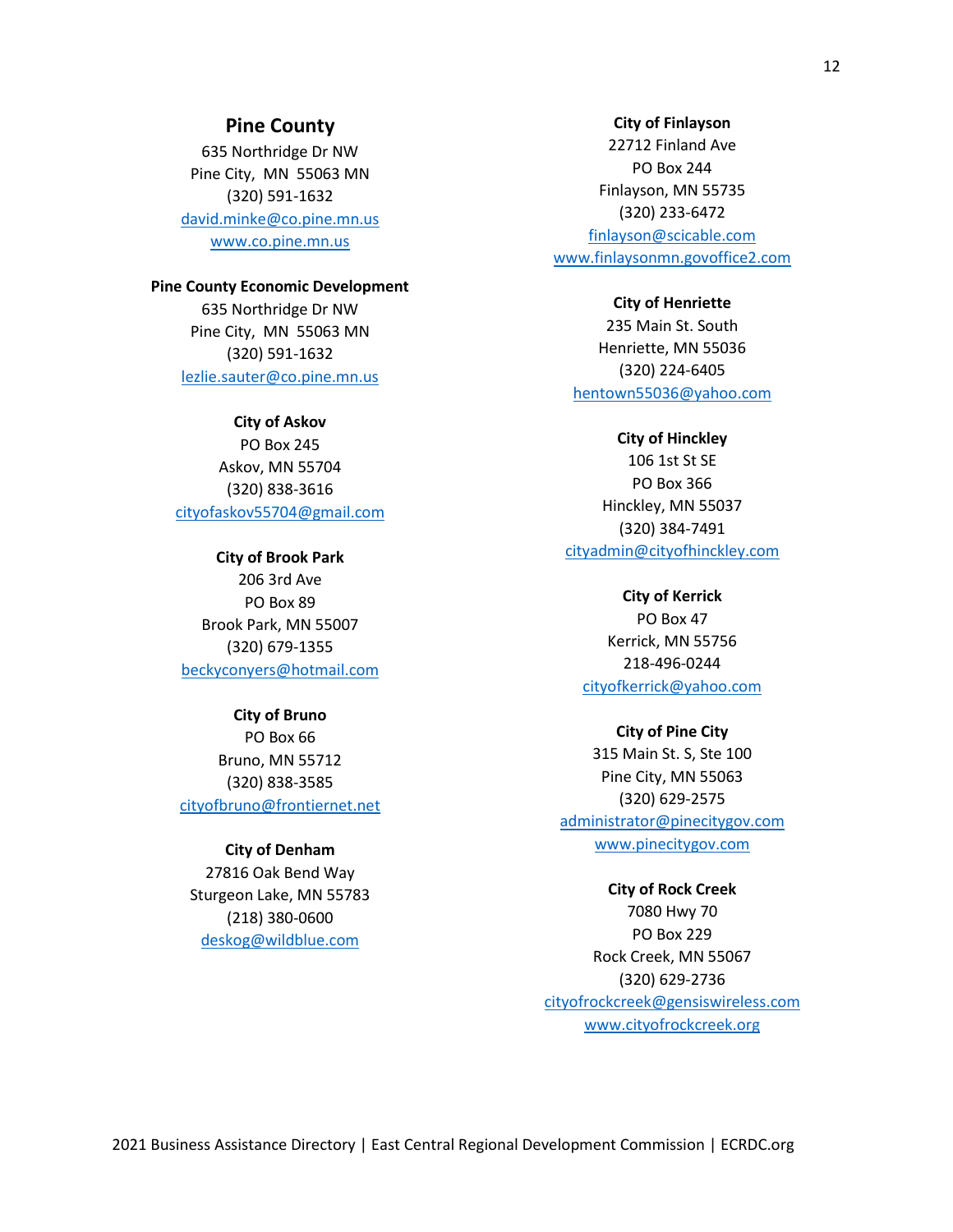# **Pine County**

635 Northridge Dr NW Pine City, MN 55063 MN (320) 591-1632 [david.minke@co.pine.mn.us](mailto:david.minke@co.pine.mn.us) www.co.pine.mn.us

#### **Pine County Economic Development**

635 Northridge Dr NW Pine City, MN 55063 MN (320) 591-1632 [lezlie.sauter@co.pine.mn.us](mailto:lezlie.sauter@co.pine.mn.us)

**City of Askov** PO Box 245 Askov, MN 55704 (320) 838-3616 [cityofaskov55704@gmail.com](mailto:cityofaskov55704@gmail.com)

**City of Brook Park** 206 3rd Ave PO Box 89 Brook Park, MN 55007 (320) 679-1355 [beckyconyers@hotmail.com](mailto:beckyconyers@hotmail.com)

# **City of Bruno**

PO Box 66 Bruno, MN 55712 (320) 838-3585 [cityofbruno@frontiernet.net](mailto:cityofbruno@frontiernet.net)

### **City of Denham**

27816 Oak Bend Way Sturgeon Lake, MN 55783 (218) 380-0600 [deskog@wildblue.com](mailto:deskog@wildblue.com)

#### **City of Finlayson**

22712 Finland Ave PO Box 244 Finlayson, MN 55735 (320) 233-6472 [finlayson@scicable.com](mailto:finlayson@scicable.com) www.finlaysonmn.govoffice2.com

#### **City of Henriette**

235 Main St. South Henriette, MN 55036 (320) 224-6405 [hentown55036@yahoo.com](mailto:hentown55036@yahoo.com)

### **City of Hinckley**

106 1st St SE PO Box 366 Hinckley, MN 55037 (320) 384-7491 [cityadmin@cityofhinckley.com](mailto:cityadmin@cityofhinckley.com)

**City of Kerrick**

PO Box 47 Kerrick, MN 55756 218-496-0244 [cityofkerrick@yahoo.com](mailto:Wiggins212@msn.com)

### **City of Pine City**

315 Main St. S, Ste 100 Pine City, MN 55063 (320) 629-2575 [administrator@pinecitygov.com](mailto:administrator@pinecitygov.com) www.pinecitygov.com

#### **City of Rock Creek**

7080 Hwy 70 PO Box 229 Rock Creek, MN 55067 (320) 629-2736 [cityofrockcreek@gensiswireless.com](mailto:cityofrockcreek@gensiswireless.com) www.cityofrockcreek.org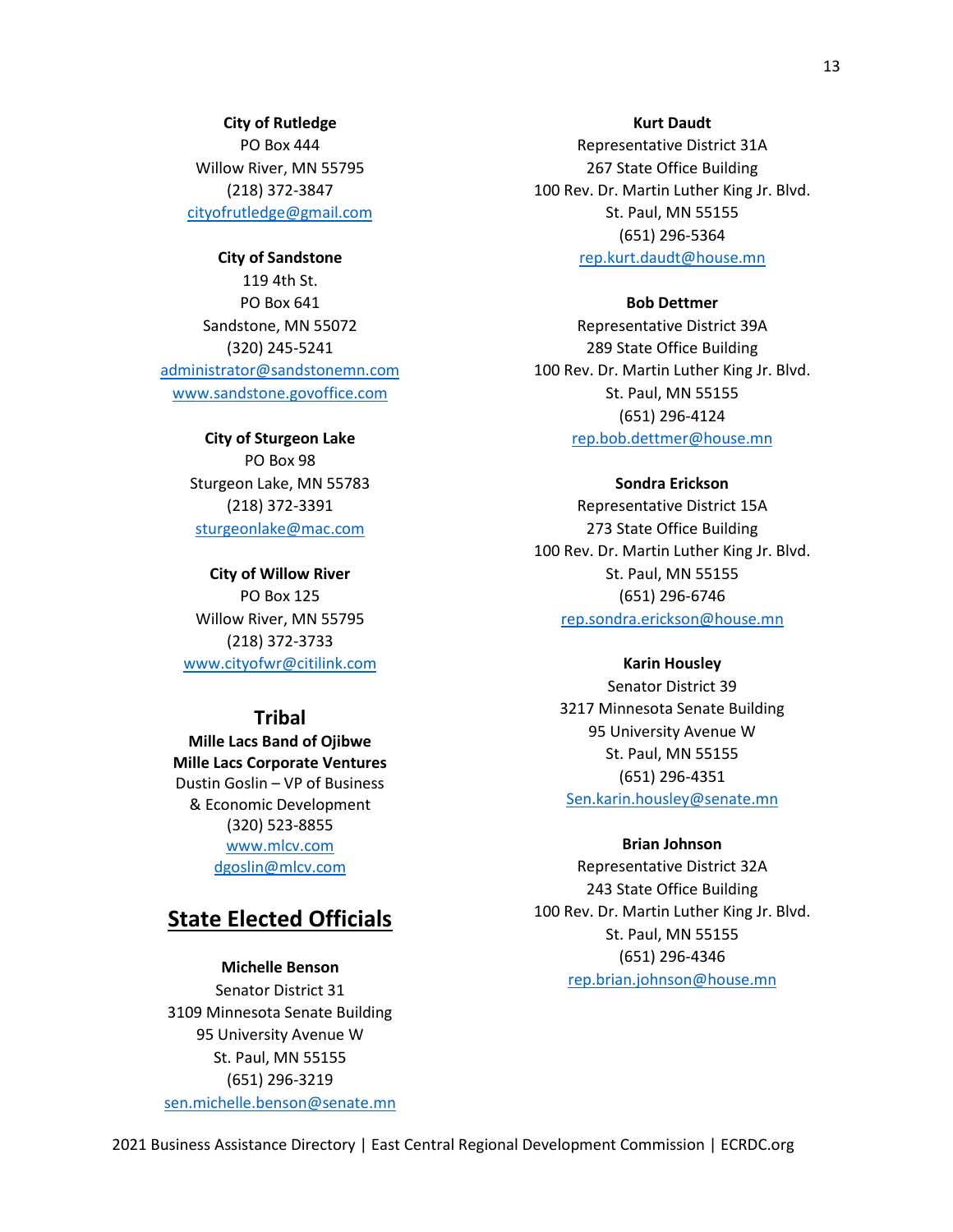**City of Rutledge**

PO Box 444 Willow River, MN 55795 (218) 372-3847 cityofrutledge@gmail.com

**City of Sandstone** 119 4th St. PO Box 641 Sandstone, MN 55072 (320) 245-5241 [administrator@sandstonemn.com](mailto:administrator@sandstonemn.com) www.sandstone.govoffice.com

> **City of Sturgeon Lake** PO Box 98 Sturgeon Lake, MN 55783 (218) 372-3391 [sturgeonlake@mac.com](mailto:sturgeonlake@mac.com)

**City of Willow River** PO Box 125 Willow River, MN 55795 (218) 372-3733 [www.cityofwr@citilink.com](http://www.cityofwr@citilink.com)

# **Tribal**

**Mille Lacs Band of Ojibwe Mille Lacs Corporate Ventures** Dustin Goslin – VP of Business & Economic Development (320) 523-8855 [www.mlcv.com](http://www.mlcv.com/) [dgoslin@mlcv.com](mailto:dgoslin@mlcv.com)

# **State Elected Officials**

# **Michelle Benson**

Senator District 31 3109 Minnesota Senate Building 95 University Avenue W St. Paul, MN 55155 (651) 296-3219 [sen.michelle.benson@senate.mn](mailto:sen.michelle.benson@senate.mn)

#### **Kurt Daudt**

Representative District 31A 267 State Office Building 100 Rev. Dr. Martin Luther King Jr. Blvd. St. Paul, MN 55155 (651) 296-5364 [rep.kurt.daudt@house.mn](mailto:rep.kurt.daudt@house.mn)

#### **Bob Dettmer**

Representative District 39A 289 State Office Building 100 Rev. Dr. Martin Luther King Jr. Blvd. St. Paul, MN 55155 (651) 296-4124 [rep.bob.dettmer@house.mn](mailto:rep.bob.dettmer@house.mn)

#### **Sondra Erickson**

Representative District 15A 273 State Office Building 100 Rev. Dr. Martin Luther King Jr. Blvd. St. Paul, MN 55155 (651) 296-6746 [rep.sondra.erickson@house.mn](mailto:rep.sondra.erickson@house.mn)

#### **Karin Housley**

Senator District 39 3217 Minnesota Senate Building 95 University Avenue W St. Paul, MN 55155 (651) 296-4351 Sen.karin.housley@senate.mn

#### **Brian Johnson**

Representative District 32A 243 State Office Building 100 Rev. Dr. Martin Luther King Jr. Blvd. St. Paul, MN 55155 (651) 296-4346 [rep.brian.johnson@house.mn](mailto:rep.brian.johnson@house.mn)